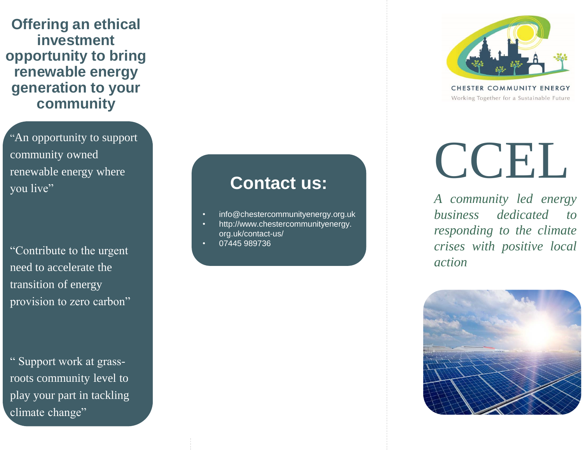**Offering an ethical investment opportunity to bring renewable energy generation to your community**

"An opportunity to support community owned renewable energy where you live"

"Contribute to the urgent need to accelerate the transition of energy provision to zero carbon"

" Support work at grassroots community level to play your part in tackling climate change"

#### **Contact us:**

- info@chestercommunityenergy.org.uk
- http://www.chestercommunityenergy. org.uk/contact-us/
- 07445 989736



CHESTER COMMUNITY ENERGY Working Together for a Sustainable Future

# CCEL.

*A community led energy business dedicated to responding to the climate crises with positive local action*